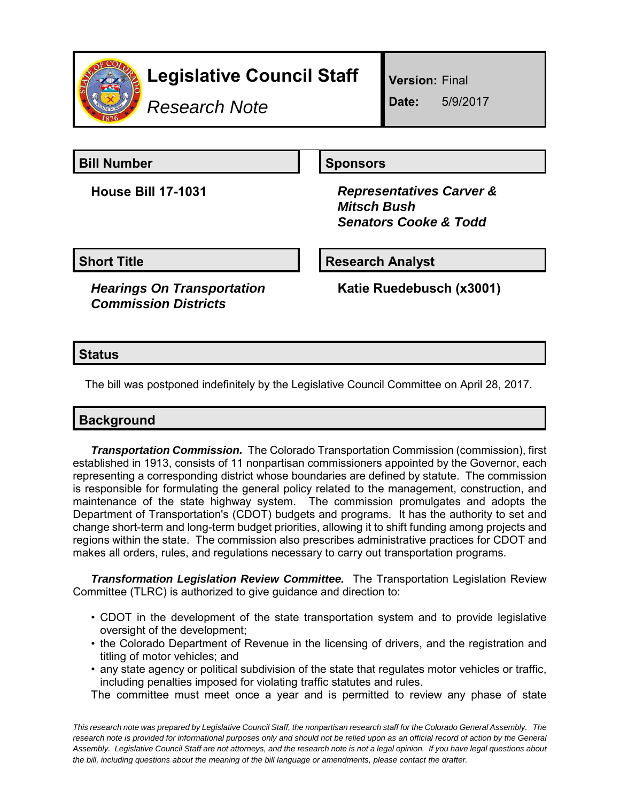

# **Legislative Council Staff**

*Research Note*

**Version:** Final

**Date:** 5/9/2017

**Bill Number Sponsors** 

**House Bill 17-1031** *Representatives Carver & Mitsch Bush Senators Cooke & Todd*

**Short Title Community Community Community Research Analyst** 

*Hearings On Transportation Commission Districts*

**Katie Ruedebusch (x3001)**

**Status**

The bill was postponed indefinitely by the Legislative Council Committee on April 28, 2017.

## **Background**

*Transportation Commission.* The Colorado Transportation Commission (commission), first established in 1913, consists of 11 nonpartisan commissioners appointed by the Governor, each representing a corresponding district whose boundaries are defined by statute. The commission is responsible for formulating the general policy related to the management, construction, and maintenance of the state highway system. The commission promulgates and adopts the Department of Transportation's (CDOT) budgets and programs. It has the authority to set and change short-term and long-term budget priorities, allowing it to shift funding among projects and regions within the state. The commission also prescribes administrative practices for CDOT and makes all orders, rules, and regulations necessary to carry out transportation programs.

*Transformation Legislation Review Committee.* The Transportation Legislation Review Committee (TLRC) is authorized to give guidance and direction to:

- CDOT in the development of the state transportation system and to provide legislative oversight of the development;
- the Colorado Department of Revenue in the licensing of drivers, and the registration and titling of motor vehicles; and
- any state agency or political subdivision of the state that regulates motor vehicles or traffic, including penalties imposed for violating traffic statutes and rules.

The committee must meet once a year and is permitted to review any phase of state

*This research note was prepared by Legislative Council Staff, the nonpartisan research staff for the Colorado General Assembly. The research note is provided for informational purposes only and should not be relied upon as an official record of action by the General Assembly. Legislative Council Staff are not attorneys, and the research note is not a legal opinion. If you have legal questions about the bill, including questions about the meaning of the bill language or amendments, please contact the drafter.*